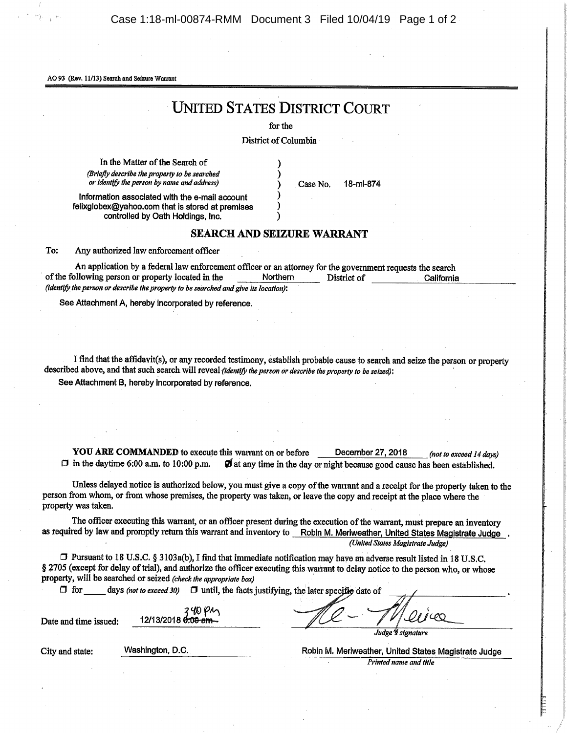Case 1:18-ml-00874-RMM Document 3 Filed 10/04/19 Page 1 of 2

AO 93 (Rev. 11/13) Search and Seizure Warrant

## UNIIED STATES DISTRICT COURT

for the

District of Columbia

In the Matter of the Search of (Briefly describe the property to be searched or identify the person by name and address)

Case No. 18-ml-874

Information associated with the e-mail account fellxglobex@yahoo.com that is stored at premises controlled by Oath Holdings, Inc.

## **SEARCH AND SEIZURE WARRANT**

To: Any authorized law enforcement officer

| An application by a federal law enforcement officer or an attorney for the government requests the search |                 |             |            |  |
|-----------------------------------------------------------------------------------------------------------|-----------------|-------------|------------|--|
| of the following person or property located in the                                                        | <b>Northern</b> | District of | California |  |
| (identify the person or describe the property to be searched and give its location):                      |                 |             |            |  |

See Attachment A, hereby incorporated by reference.

I find that the affidavit(s), or any recorded testimony, establish probable cause to search and seize the person or property described above, and that such search will reveal (identify the person or describe the property to be seized): See Attachment B, hereby incorporated by reference.

**YOU ARE COMMANDED** to execute this warrant on or before December 27, 2018 (not to exceed 14 days)  $\Box$  in the daytime 6:00 a.m. to 10:00 p.m.  $\Box$  at any time in the day or night because good cause has been established.  $\vec{v}$  at any time in the day or night because good cause has been established.

Unless delayed notice is authorized below, you must give a copy of the warrant and a receipt for the property taken to the person from whom, or from whose premises, the property was taken, or leave the copy and receipt at the place where the property was taken.

The officer executing this warrant, or an officer present during the execution of the warrant, must prepare an inventory as required by law and promptly return this warrant and inventory to Robin M. Meriweather, United States Magistrate Judge. (United States Magistrate Judge)

CI Pursuant to 18 U.S.C. § 3103a(b), I find that immediate notification may have an adverse result listed in 18 U.S.C. § 2705 (except for delay of trial), and authorize the officer executing this warrant to delay notice to the person who, or whose property, will be searched or seized (check the appropriate box)

 $\Box$  for days (not to exceed 30)  $\Box$  until, the facts justifying, the later specific date of

Date and time issued:

| 12/13/2018 0:00 am | YN PM |
|--------------------|-------|
|                    |       |

Judge *\* signature* 

City and state: Washington, D.C. Robin M. Meriweather, United States Magistrate Judge Printed name and title